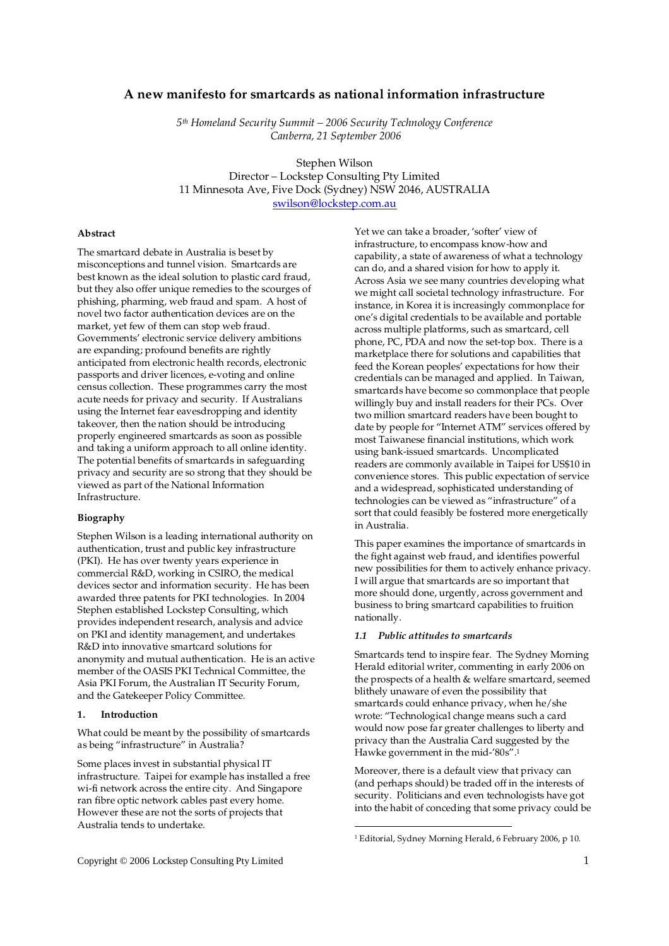*5th Homeland Security Summit – 2006 Security Technology Conference Canberra, 21 September 2006* 

Stephen Wilson

Director – Lockstep Consulting Pty Limited 11 Minnesota Ave, Five Dock (Sydney) NSW 2046, AUSTRALIA

swilson@lockstep.com.au

## **Abstract**

The smartcard debate in Australia is beset by misconceptions and tunnel vision. Smartcards are best known as the ideal solution to plastic card fraud, but they also offer unique remedies to the scourges of phishing, pharming, web fraud and spam. A host of novel two factor authentication devices are on the market, yet few of them can stop web fraud. Governments' electronic service delivery ambitions are expanding; profound benefits are rightly anticipated from electronic health records, electronic passports and driver licences, e-voting and online census collection. These programmes carry the most acute needs for privacy and security. If Australians using the Internet fear eavesdropping and identity takeover, then the nation should be introducing properly engineered smartcards as soon as possible and taking a uniform approach to all online identity. The potential benefits of smartcards in safeguarding privacy and security are so strong that they should be viewed as part of the National Information Infrastructure.

#### **Biography**

Stephen Wilson is a leading international authority on authentication, trust and public key infrastructure (PKI). He has over twenty years experience in commercial R&D, working in CSIRO, the medical devices sector and information security. He has been awarded three patents for PKI technologies. In 2004 Stephen established Lockstep Consulting, which provides independent research, analysis and advice on PKI and identity management, and undertakes R&D into innovative smartcard solutions for anonymity and mutual authentication. He is an active member of the OASIS PKI Technical Committee, the Asia PKI Forum, the Australian IT Security Forum, and the Gatekeeper Policy Committee.

### **1. Introduction**

What could be meant by the possibility of smartcards as being "infrastructure" in Australia?

Some places invest in substantial physical IT infrastructure. Taipei for example has installed a free wi-fi network across the entire city. And Singapore ran fibre optic network cables past every home. However these are not the sorts of projects that Australia tends to undertake.

Yet we can take a broader, 'softer' view of infrastructure, to encompass know-how and capability, a state of awareness of what a technology can do, and a shared vision for how to apply it. Across Asia we see many countries developing what we might call societal technology infrastructure. For instance, in Korea it is increasingly commonplace for one's digital credentials to be available and portable across multiple platforms, such as smartcard, cell phone, PC, PDA and now the set-top box. There is a marketplace there for solutions and capabilities that feed the Korean peoples' expectations for how their credentials can be managed and applied. In Taiwan, smartcards have become so commonplace that people willingly buy and install readers for their PCs. Over two million smartcard readers have been bought to date by people for "Internet ATM" services offered by most Taiwanese financial institutions, which work using bank-issued smartcards. Uncomplicated readers are commonly available in Taipei for US\$10 in convenience stores. This public expectation of service and a widespread, sophisticated understanding of technologies can be viewed as "infrastructure" of a sort that could feasibly be fostered more energetically in Australia.

This paper examines the importance of smartcards in the fight against web fraud, and identifies powerful new possibilities for them to actively enhance privacy. I will argue that smartcards are so important that more should done, urgently, across government and business to bring smartcard capabilities to fruition nationally.

# *1.1 Public attitudes to smartcards*

Smartcards tend to inspire fear. The Sydney Morning Herald editorial writer, commenting in early 2006 on the prospects of a health & welfare smartcard, seemed blithely unaware of even the possibility that smartcards could enhance privacy, when he/she wrote: "Technological change means such a card would now pose far greater challenges to liberty and privacy than the Australia Card suggested by the Hawke government in the mid-'80s".<sup>1</sup>

Moreover, there is a default view that privacy can (and perhaps should) be traded off in the interests of security. Politicians and even technologists have got into the habit of conceding that some privacy could be

 $\overline{a}$ 

<sup>1</sup> Editorial, Sydney Morning Herald, 6 February 2006, p 10.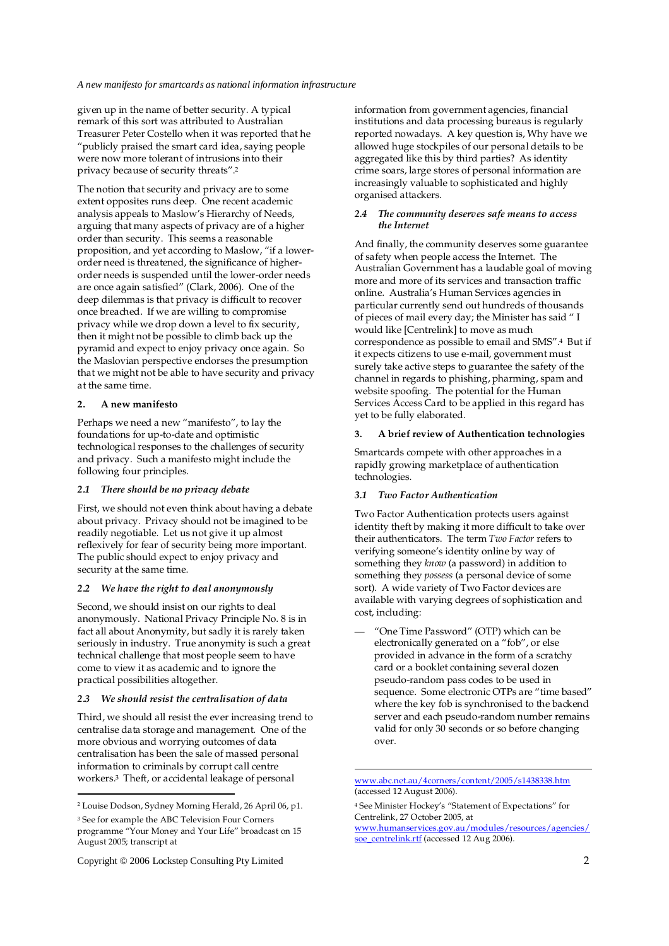given up in the name of better security. A typical remark of this sort was attributed to Australian Treasurer Peter Costello when it was reported that he "publicly praised the smart card idea, saying people were now more tolerant of intrusions into their privacy because of security threats".<sup>2</sup>

The notion that security and privacy are to some extent opposites runs deep. One recent academic analysis appeals to Maslow's Hierarchy of Needs, arguing that many aspects of privacy are of a higher order than security. This seems a reasonable proposition, and yet according to Maslow, "if a lowerorder need is threatened, the significance of higherorder needs is suspended until the lower-order needs are once again satisfied" (Clark, 2006). One of the deep dilemmas is that privacy is difficult to recover once breached. If we are willing to compromise privacy while we drop down a level to fix security, then it might not be possible to climb back up the pyramid and expect to enjoy privacy once again. So the Maslovian perspective endorses the presumption that we might not be able to have security and privacy at the same time.

### **2. A new manifesto**

Perhaps we need a new "manifesto", to lay the foundations for up-to-date and optimistic technological responses to the challenges of security and privacy. Such a manifesto might include the following four principles.

#### *2.1 There should be no privacy debate*

First, we should not even think about having a debate about privacy. Privacy should not be imagined to be readily negotiable. Let us not give it up almost reflexively for fear of security being more important. The public should expect to enjoy privacy and security at the same time.

### *2.2 We have the right to deal anonymously*

Second, we should insist on our rights to deal anonymously. National Privacy Principle No. 8 is in fact all about Anonymity, but sadly it is rarely taken seriously in industry. True anonymity is such a great technical challenge that most people seem to have come to view it as academic and to ignore the practical possibilities altogether.

### *2.3 We should resist the centralisation of data*

Third, we should all resist the ever increasing trend to centralise data storage and management. One of the more obvious and worrying outcomes of data centralisation has been the sale of massed personal information to criminals by corrupt call centre workers.3 Theft, or accidental leakage of personal

-

Copyright © 2006 Lockstep Consulting Pty Limited 2

information from government agencies, financial institutions and data processing bureaus is regularly reported nowadays. A key question is, Why have we allowed huge stockpiles of our personal details to be aggregated like this by third parties? As identity crime soars, large stores of personal information are increasingly valuable to sophisticated and highly organised attackers.

### *2.4 The community deserves safe means to access the Internet*

And finally, the community deserves some guarantee of safety when people access the Internet. The Australian Government has a laudable goal of moving more and more of its services and transaction traffic online. Australia's Human Services agencies in particular currently send out hundreds of thousands of pieces of mail every day; the Minister has said " I would like [Centrelink] to move as much correspondence as possible to email and SMS".4 But if it expects citizens to use e-mail, government must surely take active steps to guarantee the safety of the channel in regards to phishing, pharming, spam and website spoofing. The potential for the Human Services Access Card to be applied in this regard has yet to be fully elaborated.

### **3. A brief review of Authentication technologies**

Smartcards compete with other approaches in a rapidly growing marketplace of authentication technologies.

## *3.1 Two Factor Authentication*

Two Factor Authentication protects users against identity theft by making it more difficult to take over their authenticators. The term *Two Factor* refers to verifying someone's identity online by way of something they *know* (a password) in addition to something they *possess* (a personal device of some sort). A wide variety of Two Factor devices are available with varying degrees of sophistication and cost, including:

— "One Time Password" (OTP) which can be electronically generated on a "fob", or else provided in advance in the form of a scratchy card or a booklet containing several dozen pseudo-random pass codes to be used in sequence. Some electronic OTPs are "time based" where the key fob is synchronised to the backend server and each pseudo-random number remains valid for only 30 seconds or so before changing over.

 $\overline{a}$ 

www.humanservices.gov.au/modules/resources/agencies/ soe\_centrelink.rtf (accessed 12 Aug 2006).

<sup>2</sup> Louise Dodson, Sydney Morning Herald, 26 April 06, p1.

<sup>3</sup> See for example the ABC Television Four Corners

programme "Your Money and Your Life" broadcast on 15 August 2005; transcript at

www.abc.net.au/4corners/content/2005/s1438338.htm (accessed 12 August 2006).

<sup>4</sup> See Minister Hockey's "Statement of Expectations" for Centrelink, 27 October 2005, at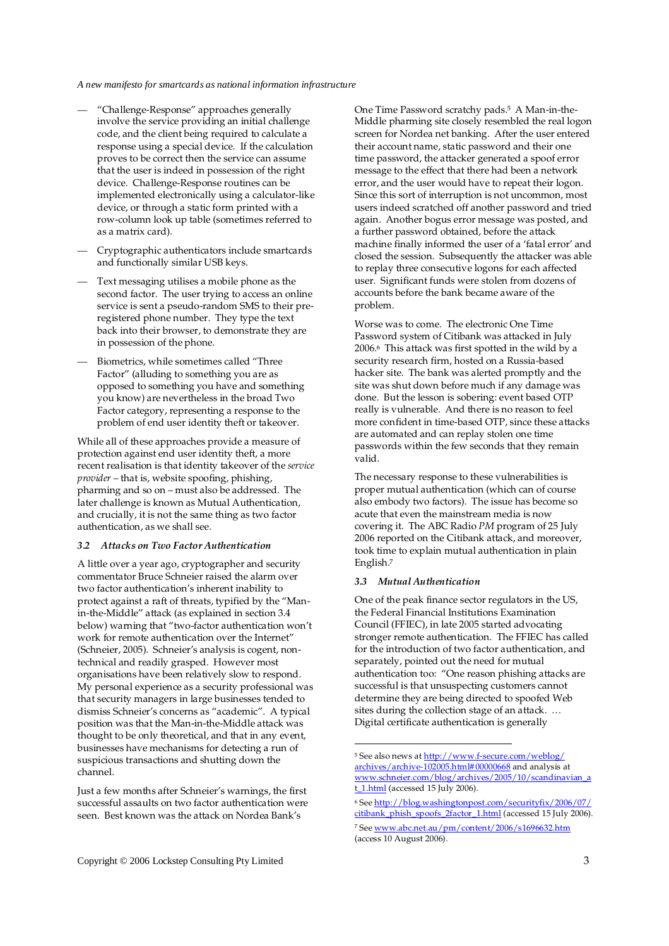- "Challenge-Response" approaches generally involve the service providing an initial challenge code, and the client being required to calculate a response using a special device. If the calculation proves to be correct then the service can assume that the user is indeed in possession of the right device. Challenge-Response routines can be implemented electronically using a calculator-like device, or through a static form printed with a row-column look up table (sometimes referred to as a matrix card).
- Cryptographic authenticators include smartcards and functionally similar USB keys.
- Text messaging utilises a mobile phone as the second factor. The user trying to access an online service is sent a pseudo-random SMS to their preregistered phone number. They type the text back into their browser, to demonstrate they are in possession of the phone.
- Biometrics, while sometimes called "Three Factor" (alluding to something you are as opposed to something you have and something you know) are nevertheless in the broad Two Factor category, representing a response to the problem of end user identity theft or takeover.

While all of these approaches provide a measure of protection against end user identity theft, a more recent realisation is that identity takeover of the *service provider* – that is, website spoofing, phishing, pharming and so on – must also be addressed. The later challenge is known as Mutual Authentication, and crucially, it is not the same thing as two factor authentication, as we shall see.

# *3.2 Attacks on Two Factor Authentication*

A little over a year ago, cryptographer and security commentator Bruce Schneier raised the alarm over two factor authentication's inherent inability to protect against a raft of threats, typified by the "Manin-the-Middle" attack (as explained in section 3.4 below) warning that "two-factor authentication won't work for remote authentication over the Internet" (Schneier, 2005). Schneier's analysis is cogent, nontechnical and readily grasped. However most organisations have been relatively slow to respond. My personal experience as a security professional was that security managers in large businesses tended to dismiss Schneier's concerns as "academic". A typical position was that the Man-in-the-Middle attack was thought to be only theoretical, and that in any event, businesses have mechanisms for detecting a run of suspicious transactions and shutting down the channel.

Just a few months after Schneier's warnings, the first successful assaults on two factor authentication were seen. Best known was the attack on Nordea Bank's

One Time Password scratchy pads.5 A Man-in-the-Middle pharming site closely resembled the real logon screen for Nordea net banking. After the user entered their account name, static password and their one time password, the attacker generated a spoof error message to the effect that there had been a network error, and the user would have to repeat their logon. Since this sort of interruption is not uncommon, most users indeed scratched off another password and tried again. Another bogus error message was posted, and a further password obtained, before the attack machine finally informed the user of a 'fatal error' and closed the session. Subsequently the attacker was able to replay three consecutive logons for each affected user. Significant funds were stolen from dozens of accounts before the bank became aware of the problem.

Worse was to come. The electronic One Time Password system of Citibank was attacked in July 2006.6 This attack was first spotted in the wild by a security research firm, hosted on a Russia-based hacker site. The bank was alerted promptly and the site was shut down before much if any damage was done. But the lesson is sobering: event based OTP really is vulnerable. And there is no reason to feel more confident in time-based OTP, since these attacks are automated and can replay stolen one time passwords within the few seconds that they remain valid.

The necessary response to these vulnerabilities is proper mutual authentication (which can of course also embody two factors). The issue has become so acute that even the mainstream media is now covering it. The ABC Radio *PM* program of 25 July 2006 reported on the Citibank attack, and moreover, took time to explain mutual authentication in plain English.<sup>7</sup>

# *3.3 Mutual Authentication*

 $\overline{a}$ 

One of the peak finance sector regulators in the US, the Federal Financial Institutions Examination Council (FFIEC), in late 2005 started advocating stronger remote authentication. The FFIEC has called for the introduction of two factor authentication, and separately, pointed out the need for mutual authentication too: "One reason phishing attacks are successful is that unsuspecting customers cannot determine they are being directed to spoofed Web sites during the collection stage of an attack. … Digital certificate authentication is generally

<sup>&</sup>lt;sup>5</sup> See also news at <u>http://www.f-secure.com/weblog/</u> archives/archive-102005.html# 00000668 and analysis at www.schneier.com/blog/archives/2005/10/scandinavian\_a t\_1.html (accessed 15 July 2006).

<sup>6</sup> See http://blog.washingtonpost.com/securityfix/2006/07/ citibank\_phish\_spoofs\_2factor\_1.html (accessed 15 July 2006). <sup>7</sup> See <u>www.abc.net.au/pm/content/2006/s1696632.htm</u> (access 10 August 2006).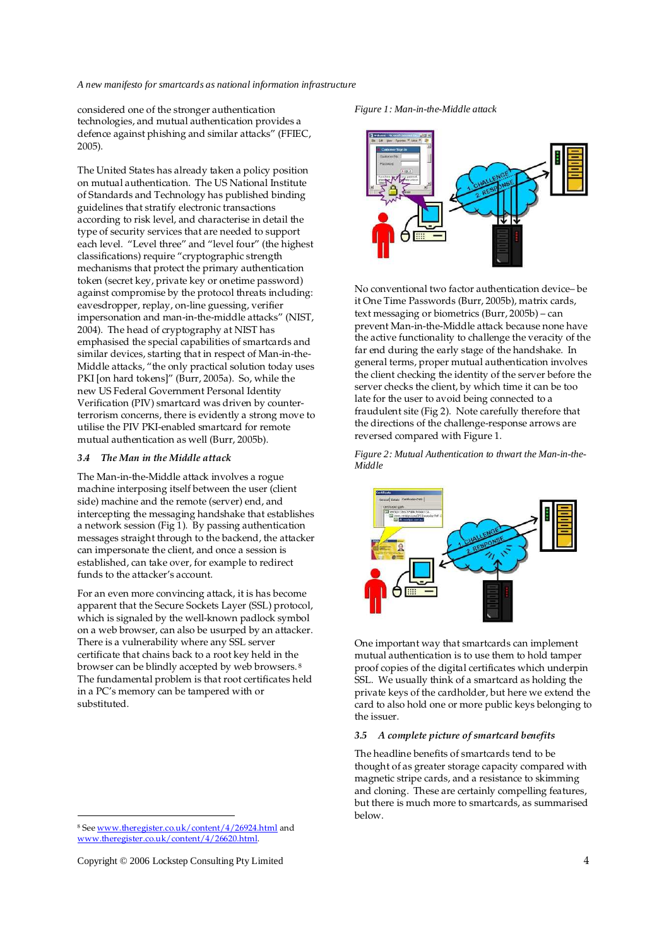considered one of the stronger authentication technologies, and mutual authentication provides a defence against phishing and similar attacks" (FFIEC, 2005).

The United States has already taken a policy position on mutual authentication. The US National Institute of Standards and Technology has published binding guidelines that stratify electronic transactions according to risk level, and characterise in detail the type of security services that are needed to support each level. "Level three" and "level four" (the highest classifications) require "cryptographic strength mechanisms that protect the primary authentication token (secret key, private key or onetime password) against compromise by the protocol threats including: eavesdropper, replay, on-line guessing, verifier impersonation and man-in-the-middle attacks" (NIST, 2004). The head of cryptography at NIST has emphasised the special capabilities of smartcards and similar devices, starting that in respect of Man-in-the-Middle attacks, "the only practical solution today uses PKI [on hard tokens]" (Burr, 2005a). So, while the new US Federal Government Personal Identity Verification (PIV) smartcard was driven by counterterrorism concerns, there is evidently a strong move to utilise the PIV PKI-enabled smartcard for remote mutual authentication as well (Burr, 2005b).

## *3.4 The Man in the Middle attack*

The Man-in-the-Middle attack involves a rogue machine interposing itself between the user (client side) machine and the remote (server) end, and intercepting the messaging handshake that establishes a network session (Fig 1). By passing authentication messages straight through to the backend, the attacker can impersonate the client, and once a session is established, can take over, for example to redirect funds to the attacker's account.

For an even more convincing attack, it is has become apparent that the Secure Sockets Layer (SSL) protocol, which is signaled by the well-known padlock symbol on a web browser, can also be usurped by an attacker. There is a vulnerability where any SSL server certificate that chains back to a root key held in the browser can be blindly accepted by web browsers.<sup>8</sup> The fundamental problem is that root certificates held in a PC's memory can be tampered with or substituted.

Copyright © 2006 Lockstep Consulting Pty Limited 4

<u>.</u>





No conventional two factor authentication device– be it One Time Passwords (Burr, 2005b), matrix cards, text messaging or biometrics (Burr, 2005b) – can prevent Man-in-the-Middle attack because none have the active functionality to challenge the veracity of the far end during the early stage of the handshake. In general terms, proper mutual authentication involves the client checking the identity of the server before the server checks the client, by which time it can be too late for the user to avoid being connected to a fraudulent site (Fig 2). Note carefully therefore that the directions of the challenge-response arrows are reversed compared with Figure 1.

*Figure 2: Mutual Authentication to thwart the Man-in-the-Middle* 



One important way that smartcards can implement mutual authentication is to use them to hold tamper proof copies of the digital certificates which underpin SSL. We usually think of a smartcard as holding the private keys of the cardholder, but here we extend the card to also hold one or more public keys belonging to the issuer.

# *3.5 A complete picture of smartcard benefits*

The headline benefits of smartcards tend to be thought of as greater storage capacity compared with magnetic stripe cards, and a resistance to skimming and cloning. These are certainly compelling features, but there is much more to smartcards, as summarised below.

<sup>8</sup> See www.theregister.co.uk/content/4/26924.html and www.theregister.co.uk/content/4/26620.html.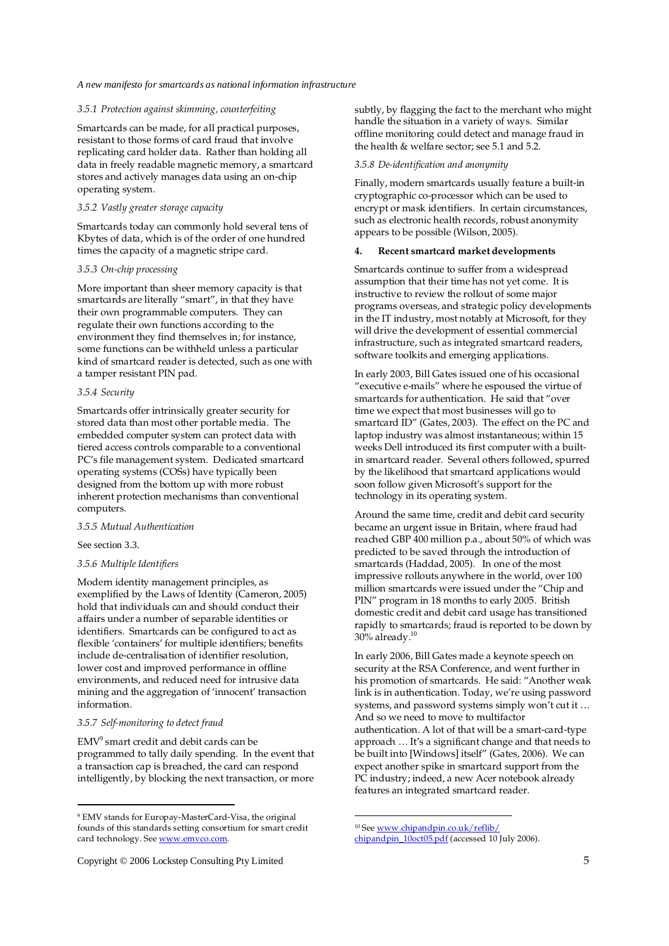### *3.5.1 Protection against skimming, counterfeiting*

Smartcards can be made, for all practical purposes, resistant to those forms of card fraud that involve replicating card holder data. Rather than holding all data in freely readable magnetic memory, a smartcard stores and actively manages data using an on-chip operating system.

# *3.5.2 Vastly greater storage capacity*

Smartcards today can commonly hold several tens of Kbytes of data, which is of the order of one hundred times the capacity of a magnetic stripe card.

# *3.5.3 On-chip processing*

More important than sheer memory capacity is that smartcards are literally "smart", in that they have their own programmable computers. They can regulate their own functions according to the environment they find themselves in; for instance, some functions can be withheld unless a particular kind of smartcard reader is detected, such as one with a tamper resistant PIN pad.

## *3.5.4 Security*

Smartcards offer intrinsically greater security for stored data than most other portable media. The embedded computer system can protect data with tiered access controls comparable to a conventional PC's file management system. Dedicated smartcard operating systems (COSs) have typically been designed from the bottom up with more robust inherent protection mechanisms than conventional computers.

#### *3.5.5 Mutual Authentication*

See section 3.3.

-

# *3.5.6 Multiple Identifiers*

Modern identity management principles, as exemplified by the Laws of Identity (Cameron, 2005) hold that individuals can and should conduct their affairs under a number of separable identities or identifiers. Smartcards can be configured to act as flexible 'containers' for multiple identifiers; benefits include de-centralisation of identifier resolution, lower cost and improved performance in offline environments, and reduced need for intrusive data mining and the aggregation of 'innocent' transaction information.

# *3.5.7 Self-monitoring to detect fraud*

EMV<sup>9</sup> smart credit and debit cards can be programmed to tally daily spending. In the event that a transaction cap is breached, the card can respond intelligently, by blocking the next transaction, or more

subtly, by flagging the fact to the merchant who might handle the situation in a variety of ways. Similar offline monitoring could detect and manage fraud in the health & welfare sector; see 5.1 and 5.2.

## *3.5.8 De-identification and anonymity*

Finally, modern smartcards usually feature a built-in cryptographic co-processor which can be used to encrypt or mask identifiers. In certain circumstances, such as electronic health records, robust anonymity appears to be possible (Wilson, 2005).

#### **4. Recent smartcard market developments**

Smartcards continue to suffer from a widespread assumption that their time has not yet come. It is instructive to review the rollout of some major programs overseas, and strategic policy developments in the IT industry, most notably at Microsoft, for they will drive the development of essential commercial infrastructure, such as integrated smartcard readers, software toolkits and emerging applications.

In early 2003, Bill Gates issued one of his occasional "executive e-mails" where he espoused the virtue of smartcards for authentication. He said that "over time we expect that most businesses will go to smartcard ID" (Gates, 2003). The effect on the PC and laptop industry was almost instantaneous; within 15 weeks Dell introduced its first computer with a builtin smartcard reader. Several others followed, spurred by the likelihood that smartcard applications would soon follow given Microsoft's support for the technology in its operating system.

Around the same time, credit and debit card security became an urgent issue in Britain, where fraud had reached GBP 400 million p.a., about 50% of which was predicted to be saved through the introduction of smartcards (Haddad, 2005). In one of the most impressive rollouts anywhere in the world, over 100 million smartcards were issued under the "Chip and PIN" program in 18 months to early 2005. British domestic credit and debit card usage has transitioned rapidly to smartcards; fraud is reported to be down by  $30\%$  already.<sup>10</sup>

In early 2006, Bill Gates made a keynote speech on security at the RSA Conference, and went further in his promotion of smartcards. He said: "Another weak link is in authentication. Today, we're using password systems, and password systems simply won't cut it … And so we need to move to multifactor authentication. A lot of that will be a smart-card-type approach … It's a significant change and that needs to be built into [Windows] itself" (Gates, 2006). We can expect another spike in smartcard support from the PC industry; indeed, a new Acer notebook already features an integrated smartcard reader.

 $\overline{a}$ 

<sup>9</sup> EMV stands for Europay-MasterCard-Visa, the original founds of this standards setting consortium for smart credit card technology. See www.emvco.com.

<sup>&</sup>lt;sup>10</sup> See www.chipandpin.co.uk/reflib/ chipandpin\_10oct05.pdf (accessed 10 July 2006).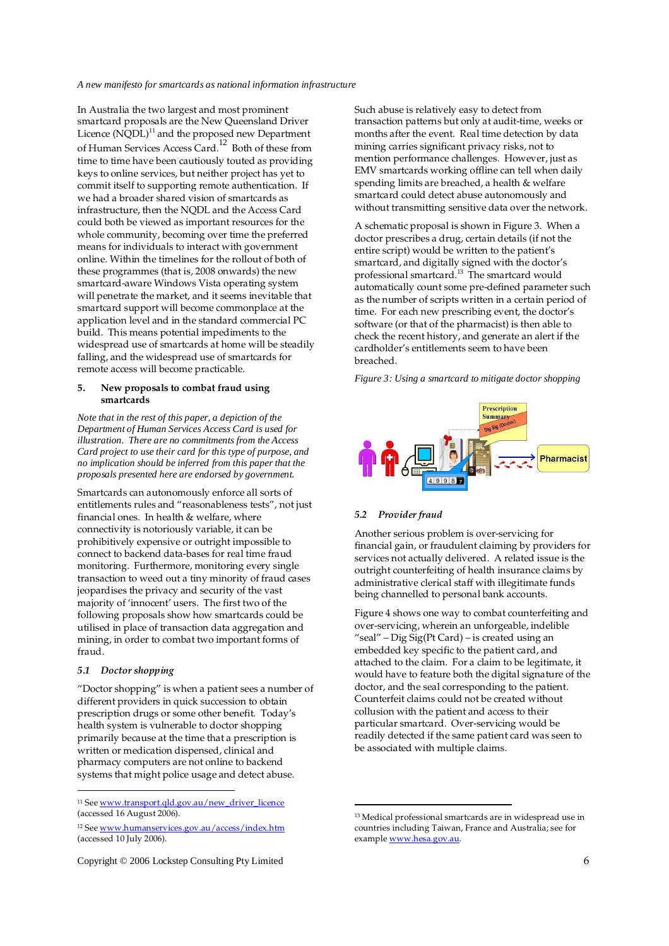In Australia the two largest and most prominent smartcard proposals are the New Queensland Driver Licence  $(NQDL)^{11}$  and the proposed new Department of Human Services Access Card.12 Both of these from time to time have been cautiously touted as providing keys to online services, but neither project has yet to commit itself to supporting remote authentication. If we had a broader shared vision of smartcards as infrastructure, then the NQDL and the Access Card could both be viewed as important resources for the whole community, becoming over time the preferred means for individuals to interact with government online. Within the timelines for the rollout of both of these programmes (that is, 2008 onwards) the new smartcard-aware Windows Vista operating system will penetrate the market, and it seems inevitable that smartcard support will become commonplace at the application level and in the standard commercial PC build. This means potential impediments to the widespread use of smartcards at home will be steadily falling, and the widespread use of smartcards for remote access will become practicable.

### **5. New proposals to combat fraud using smartcards**

*Note that in the rest of this paper, a depiction of the Department of Human Services Access Card is used for illustration. There are no commitments from the Access Card project to use their card for this type of purpose, and no implication should be inferred from this paper that the proposals presented here are endorsed by government.* 

Smartcards can autonomously enforce all sorts of entitlements rules and "reasonableness tests", not just financial ones. In health & welfare, where connectivity is notoriously variable, it can be prohibitively expensive or outright impossible to connect to backend data-bases for real time fraud monitoring. Furthermore, monitoring every single transaction to weed out a tiny minority of fraud cases jeopardises the privacy and security of the vast majority of 'innocent' users. The first two of the following proposals show how smartcards could be utilised in place of transaction data aggregation and mining, in order to combat two important forms of fraud.

#### *5.1 Doctor shopping*

-

"Doctor shopping" is when a patient sees a number of different providers in quick succession to obtain prescription drugs or some other benefit. Today's health system is vulnerable to doctor shopping primarily because at the time that a prescription is written or medication dispensed, clinical and pharmacy computers are not online to backend systems that might police usage and detect abuse.

Such abuse is relatively easy to detect from transaction patterns but only at audit-time, weeks or months after the event. Real time detection by data mining carries significant privacy risks, not to mention performance challenges. However, just as EMV smartcards working offline can tell when daily spending limits are breached, a health & welfare smartcard could detect abuse autonomously and without transmitting sensitive data over the network.

A schematic proposal is shown in Figure 3. When a doctor prescribes a drug, certain details (if not the entire script) would be written to the patient's smartcard, and digitally signed with the doctor's professional smartcard.<sup>13</sup> The smartcard would automatically count some pre-defined parameter such as the number of scripts written in a certain period of time. For each new prescribing event, the doctor's software (or that of the pharmacist) is then able to check the recent history, and generate an alert if the cardholder's entitlements seem to have been breached.

*Figure 3: Using a smartcard to mitigate doctor shopping* 



# *5.2 Provider fraud*

Another serious problem is over-servicing for financial gain, or fraudulent claiming by providers for services not actually delivered. A related issue is the outright counterfeiting of health insurance claims by administrative clerical staff with illegitimate funds being channelled to personal bank accounts.

Figure 4 shows one way to combat counterfeiting and over-servicing, wherein an unforgeable, indelible "seal" – Dig  $\tilde{Sig}(Pt \, Card)$  – is created using an embedded key specific to the patient card, and attached to the claim. For a claim to be legitimate, it would have to feature both the digital signature of the doctor, and the seal corresponding to the patient. Counterfeit claims could not be created without collusion with the patient and access to their particular smartcard. Over-servicing would be readily detected if the same patient card was seen to be associated with multiple claims.

<sup>11</sup> See www.transport.qld.gov.au/new\_driver\_licence (accessed 16 August 2006).

<sup>12</sup> See www.humanservices.gov.au/access/index.htm (accessed 10 July 2006).

<sup>13</sup> Medical professional smartcards are in widespread use in countries including Taiwan, France and Australia; see for example www.hesa.gov.au.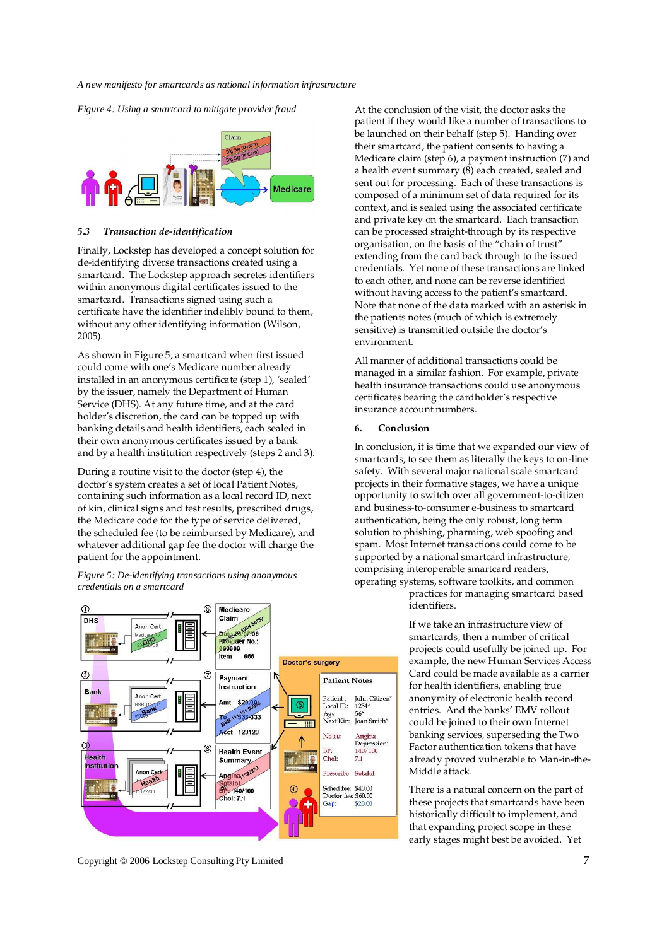*Figure 4: Using a smartcard to mitigate provider fraud* 



### *5.3 Transaction de-identification*

Finally, Lockstep has developed a concept solution for de-identifying diverse transactions created using a smartcard. The Lockstep approach secretes identifiers within anonymous digital certificates issued to the smartcard. Transactions signed using such a certificate have the identifier indelibly bound to them, without any other identifying information (Wilson, 2005).

As shown in Figure 5, a smartcard when first issued could come with one's Medicare number already installed in an anonymous certificate (step 1), 'sealed' by the issuer, namely the Department of Human Service (DHS). At any future time, and at the card holder's discretion, the card can be topped up with banking details and health identifiers, each sealed in their own anonymous certificates issued by a bank and by a health institution respectively (steps 2 and 3).

During a routine visit to the doctor (step 4), the doctor's system creates a set of local Patient Notes, containing such information as a local record ID, next of kin, clinical signs and test results, prescribed drugs, the Medicare code for the type of service delivered, the scheduled fee (to be reimbursed by Medicare), and whatever additional gap fee the doctor will charge the patient for the appointment.

*Figure 5: De-identifying transactions using anonymous credentials on a smartcard* 

At the conclusion of the visit, the doctor asks the patient if they would like a number of transactions to be launched on their behalf (step 5). Handing over their smartcard, the patient consents to having a Medicare claim (step 6), a payment instruction (7) and a health event summary (8) each created, sealed and sent out for processing. Each of these transactions is composed of a minimum set of data required for its context, and is sealed using the associated certificate and private key on the smartcard. Each transaction can be processed straight-through by its respective organisation, on the basis of the "chain of trust" extending from the card back through to the issued credentials. Yet none of these transactions are linked to each other, and none can be reverse identified without having access to the patient's smartcard. Note that none of the data marked with an asterisk in the patients notes (much of which is extremely sensitive) is transmitted outside the doctor's environment.

All manner of additional transactions could be managed in a similar fashion. For example, private health insurance transactions could use anonymous certificates bearing the cardholder's respective insurance account numbers.

#### **6. Conclusion**

In conclusion, it is time that we expanded our view of smartcards, to see them as literally the keys to on-line safety. With several major national scale smartcard projects in their formative stages, we have a unique opportunity to switch over all government-to-citizen and business-to-consumer e-business to smartcard authentication, being the only robust, long term solution to phishing, pharming, web spoofing and spam. Most Internet transactions could come to be supported by a national smartcard infrastructure, comprising interoperable smartcard readers, operating systems, software toolkits, and common practices for managing smartcard based identifiers.

> If we take an infrastructure view of smartcards, then a number of critical projects could usefully be joined up. For example, the new Human Services Access Card could be made available as a carrier for health identifiers, enabling true anonymity of electronic health record entries. And the banks' EMV rollout could be joined to their own Internet banking services, superseding the Two Factor authentication tokens that have already proved vulnerable to Man-in-the-Middle attack.

There is a natural concern on the part of these projects that smartcards have been historically difficult to implement, and that expanding project scope in these early stages might best be avoided. Yet



Copyright © 2006 Lockstep Consulting Pty Limited 7